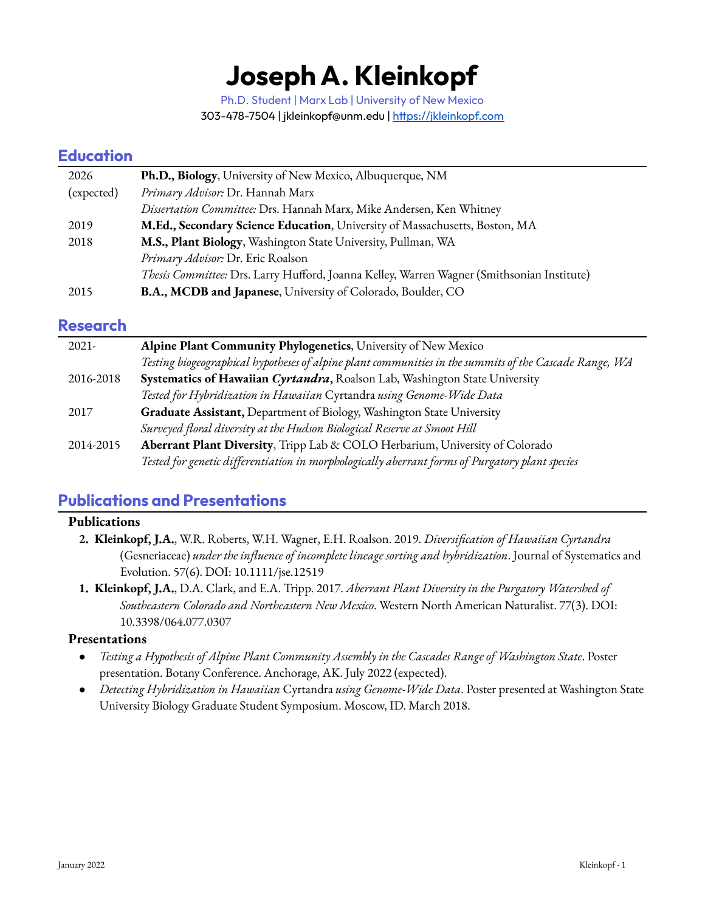# **Joseph A. Kleinkopf**

Ph.D. Student | Marx Lab | University of New Mexico 303-478-7504 | jkleinkopf@unm.edu | <https://jkleinkopf.com>

## **Education**

| 2026       | Ph.D., Biology, University of New Mexico, Albuquerque, NM                                  |
|------------|--------------------------------------------------------------------------------------------|
| (expected) | Primary Advisor: Dr. Hannah Marx                                                           |
|            | Dissertation Committee: Drs. Hannah Marx, Mike Andersen, Ken Whitney                       |
| 2019       | M.Ed., Secondary Science Education, University of Massachusetts, Boston, MA                |
| 2018       | M.S., Plant Biology, Washington State University, Pullman, WA                              |
|            | Primary Advisor: Dr. Eric Roalson                                                          |
|            | Thesis Committee: Drs. Larry Hufford, Joanna Kelley, Warren Wagner (Smithsonian Institute) |
| 2015       | <b>B.A., MCDB and Japanese</b> , University of Colorado, Boulder, CO                       |

### **Research**

| $2021 -$  | Alpine Plant Community Phylogenetics, University of New Mexico                                         |
|-----------|--------------------------------------------------------------------------------------------------------|
|           | Testing biogeographical hypotheses of alpine plant communities in the summits of the Cascade Range, WA |
| 2016-2018 | Systematics of Hawaiian Cyrtandra, Roalson Lab, Washington State University                            |
|           | Tested for Hybridization in Hawaiian Cyrtandra using Genome-Wide Data                                  |
| 2017      | Graduate Assistant, Department of Biology, Washington State University                                 |
|           | Surveyed floral diversity at the Hudson Biological Reserve at Smoot Hill                               |
| 2014-2015 | Aberrant Plant Diversity, Tripp Lab & COLO Herbarium, University of Colorado                           |
|           | Tested for genetic differentiation in morphologically aberrant forms of Purgatory plant species        |

# **Publications and Presentations**

#### **Publications**

- **2. Kleinkopf, J.A.**, W.R. Roberts, W.H. Wagner, E.H. Roalson. 2019. *Diversification of Hawaiian Cyrtandra* (Gesneriaceae) *under the influence of incomplete lineage sorting and hybridization*. Journal of Systematics and Evolution. 57(6). DOI: 10.1111/jse.12519
- **1. Kleinkopf, J.A.**, D.A. Clark, and E.A. Tripp. 2017. *Aberrant Plant Diversity in the Purgatory Watershed of Southeastern Colorado and Northeastern New Mexico*. Western North American Naturalist. 77(3). DOI: 10.3398/064.077.0307

#### **Presentations**

- *Testing a Hypothesis of Alpine Plant Community Assembly in the Cascades Range of Washington State*. Poster presentation. Botany Conference. Anchorage, AK. July 2022 (expected).
- *Detecting Hybridization in Hawaiian* Cyrtandra *using Genome-Wide Data*. Poster presented at Washington State University Biology Graduate Student Symposium. Moscow, ID. March 2018.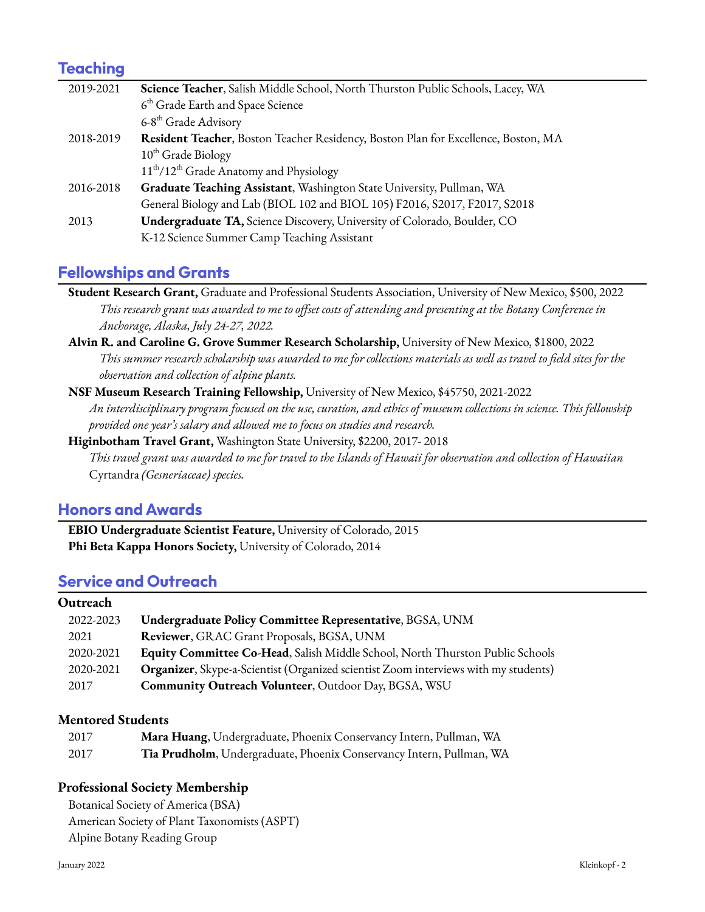# **Teaching**

| 2019-2021 | Science Teacher, Salish Middle School, North Thurston Public Schools, Lacey, WA    |
|-----------|------------------------------------------------------------------------------------|
|           | 6 <sup>th</sup> Grade Earth and Space Science                                      |
|           | 6-8 <sup>th</sup> Grade Advisory                                                   |
| 2018-2019 | Resident Teacher, Boston Teacher Residency, Boston Plan for Excellence, Boston, MA |
|           | $10th$ Grade Biology                                                               |
|           | 11 <sup>th</sup> /12 <sup>th</sup> Grade Anatomy and Physiology                    |
| 2016-2018 | Graduate Teaching Assistant, Washington State University, Pullman, WA              |
|           | General Biology and Lab (BIOL 102 and BIOL 105) F2016, S2017, F2017, S2018         |
| 2013      | Undergraduate TA, Science Discovery, University of Colorado, Boulder, CO           |
|           | K-12 Science Summer Camp Teaching Assistant                                        |

# **Fellowships and Grants**

**Student Research Grant,** Graduate and Professional Students Association, University of New Mexico, \$500, 2022 This research grant was awarded to me to offset costs of attending and presenting at the Botany Conference in *Anchorage, Alaska, July 24-27, 2022.*

**Alvin R. and Caroline G. Grove Summer Research Scholarship,** University of New Mexico, \$1800, 2022 This summer research scholarship was awarded to me for collections materials as well as travel to field sites for the *observation and collection of alpine plants.*

**NSF Museum Research Training Fellowship,** University of New Mexico, \$45750, 2021-2022 An interdisciplinary program focused on the use, curation, and ethics of museum collections in science. This fellowship *provided one year's salary and allowed me to focus on studies and research.*

**Higinbotham Travel Grant,** Washington State University, \$2200, 2017- 2018 This travel grant was awarded to me for travel to the Islands of Hawaii for observation and collection of Hawaiian Cyrtandra *(Gesneriaceae) species.*

# **Honors and Awards**

**EBIO Undergraduate Scientist Feature,** University of Colorado, 2015 **Phi Beta Kappa Honors Society,** University of Colorado, 2014

# **Service and Outreach**

## **Outreach** 2022-2023 **Undergraduate Policy Committee Representative**, BGSA, UNM 2021 **Reviewer**, GRAC Grant Proposals, BGSA, UNM 2020-2021 **Equity Committee Co-Head**, Salish Middle School, North Thurston Public Schools 2020-2021 **Organizer**, Skype-a-Scientist (Organized scientist Zoom interviews with my students) 2017 **Community Outreach Volunteer**, Outdoor Day, BGSA, WSU

#### **Mentored Students**

| 2017 | Mara Huang, Undergraduate, Phoenix Conservancy Intern, Pullman, WA   |
|------|----------------------------------------------------------------------|
| 2017 | Tia Prudholm, Undergraduate, Phoenix Conservancy Intern, Pullman, WA |

#### **Professional Society Membership**

Botanical Society of America (BSA) American Society of Plant Taxonomists (ASPT) Alpine Botany Reading Group